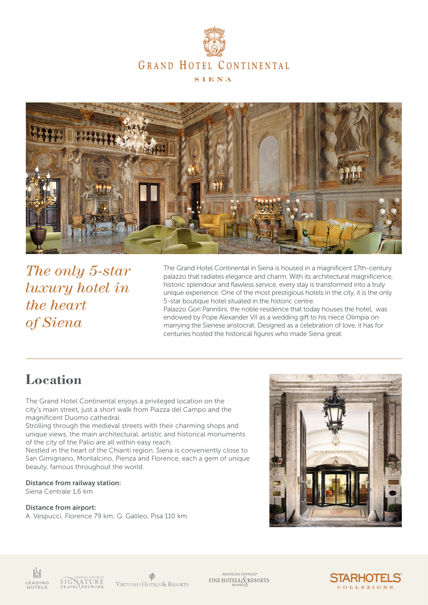



*The only 5-star luxury hotel in the heart of Siena*

The Grand Hotel Continental in Siena is housed in a magnificent 17th-century palazzo that radiates elegance and charm. With its architectural magnificence, historic splendour and flawless service, every stay is transformed into a truly unique experience. One of the most prestigious hotels in the city, it is the only 5-star boutique hotel situated in the historic centre.

Palazzo Gori Pannilini, the noble residence that today houses the hotel, was endowed by Pope Alexander VII as a wedding gift to his niece Olimpia on marrying the Sienese aristocrat. Designed as a celebration of love, it has for centuries hosted the historical figures who made Siena great.

# **Location**

The Grand Hotel Continental enjoys a privileged location on the city's main street, just a short walk from Piazza del Campo and the magnificent Duomo cathedral.

Strolling through the medieval streets with their charming shops and unique views, the main architectural, artistic and historical monuments of the city of the Palio are all within easy reach.

Nestled in the heart of the Chianti region, Siena is conveniently close to San Gimignano, Montalcino, Pienza and Florence, each a gem of unique beauty, famous throughout the world.

#### Distance from railway station:

Siena Centrale 1,6 km

#### Distance from airport:

A. Vespucci, Florence 79 km; G. Galileo, Pisa 110 km





VIRTUOSO HOTELS & RESORTS

AMERICAN EXPRESS®<br>FINE HOTELS & RESORTS